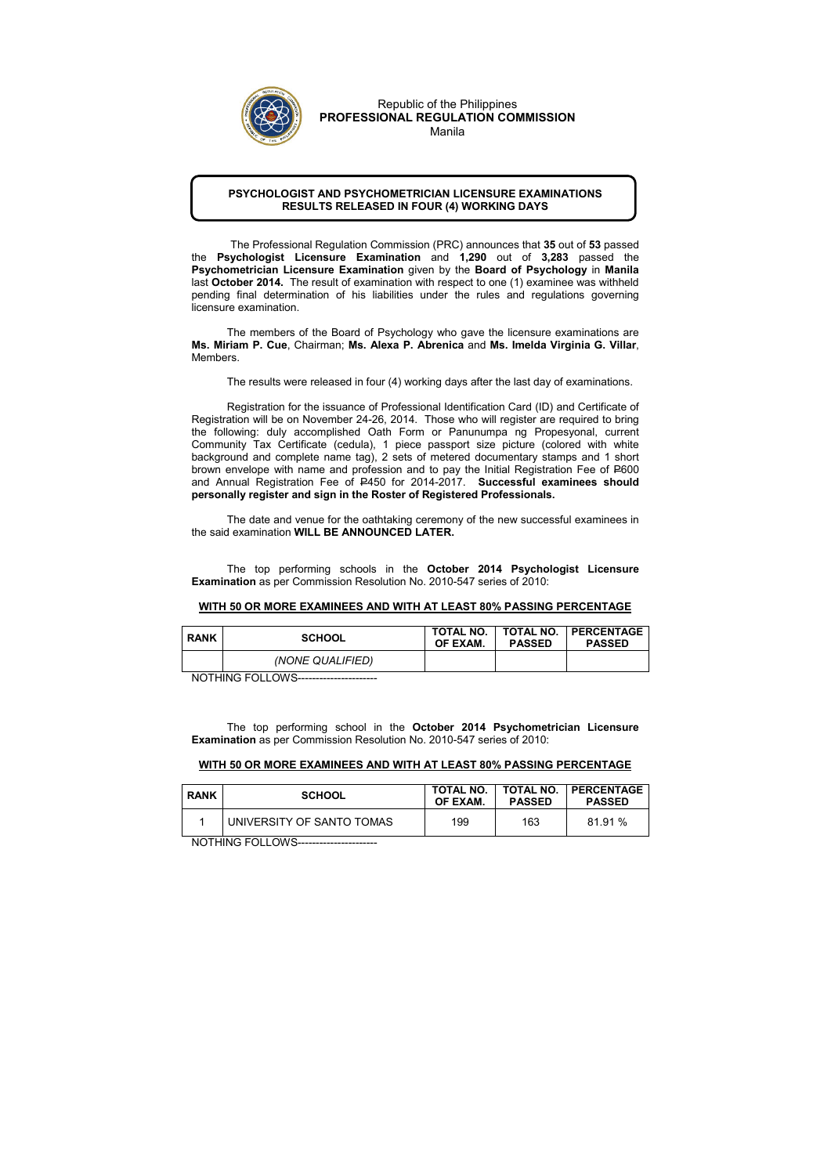## PSYCHOLOGIST AND PSYCHOMETRICIAN LICENSURE EXAMINATIONS RESULTS RELEASED IN FOUR (4) WORKING DAYS

 The Professional Regulation Commission (PRC) announces that 35 out of 53 passed the Psychologist Licensure Examination and 1,290 out of 3,283 passed the Psychometrician Licensure Examination given by the Board of Psychology in Manila last October 2014. The result of examination with respect to one (1) examinee was withheld pending final determination of his liabilities under the rules and regulations governing licensure examination.

The members of the Board of Psychology who gave the licensure examinations are Ms. Miriam P. Cue, Chairman; Ms. Alexa P. Abrenica and Ms. Imelda Virginia G. Villar, Members.

The date and venue for the oathtaking ceremony of the new successful examinees in the said examination WILL BE ANNOUNCED LATER.

The results were released in four (4) working days after the last day of examinations.

 Registration for the issuance of Professional Identification Card (ID) and Certificate of Registration will be on November 24-26, 2014. Those who will register are required to bring the following: duly accomplished Oath Form or Panunumpa ng Propesyonal, current Community Tax Certificate (cedula), 1 piece passport size picture (colored with white background and complete name tag), 2 sets of metered documentary stamps and 1 short brown envelope with name and profession and to pay the Initial Registration Fee of P600 and Annual Registration Fee of P450 for 2014-2017. Successful examinees should personally register and sign in the Roster of Registered Professionals.

The top performing schools in the October 2014 Psychologist Licensure Examination as per Commission Resolution No. 2010-547 series of 2010:

## WITH 50 OR MORE EXAMINEES AND WITH AT LEAST 80% PASSING PERCENTAGE

| <b>RANK</b> | <b>SCHOOL</b>    | <b>TOTAL NO.</b><br>OF EXAM. | <b>PASSED</b> | <b>TOTAL NO.   PERCENTAGE</b><br><b>PASSED</b> |
|-------------|------------------|------------------------------|---------------|------------------------------------------------|
|             | (NONE QUALIFIED) |                              |               |                                                |

NOTHING FOLLOWS----------------------

The top performing school in the October 2014 Psychometrician Licensure Examination as per Commission Resolution No. 2010-547 series of 2010:

## WITH 50 OR MORE EXAMINEES AND WITH AT LEAST 80% PASSING PERCENTAGE

| <b>RANK</b> | <b>SCHOOL</b>             | <b>TOTAL NO.</b><br>OF EXAM. | <b>TOTAL NO.</b><br><b>PASSED</b> | <b>PERCENTAGE</b><br><b>PASSED</b> |
|-------------|---------------------------|------------------------------|-----------------------------------|------------------------------------|
|             | UNIVERSITY OF SANTO TOMAS | 199                          | 163                               | 81.91%                             |

NOTHING FOLLOWS----------------------



Republic of the Philippines PROFESSIONAL REGULATION COMMISSION Manila